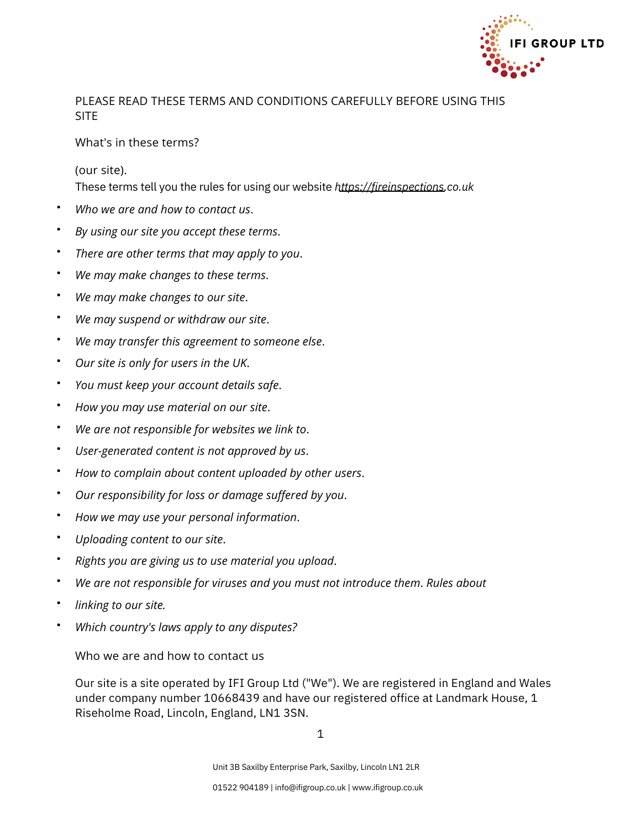

PLEASE READ THESE TERMS AND CONDITIONS CAREFULLY BEFORE USING THIS SITE

What's in these terms?

(our site).

These terms tell you the rules for using our website *https://fireinspections.co.uk*

- *Who we are and how to contact us*. •
- *By using our site you accept these terms*. •
- *There are other terms that may apply to you*. •
- *We may make changes to these terms*. •
- *We may make changes to our site*. •
- *We may suspend or withdraw our site*. •
- *We may transfer this agreement to someone else*. •
- *Our site is only for users in the UK*. •
- *You must keep your account details safe*. •
- *How you may use material on our site*. •
- *We are not responsible for websites we link to*. •
- *User-generated content is not approved by us*. •
- *How to complain about content uploaded by other users*. •
- *Our responsibility for loss or damage suffered by you*. •
- *How we may use your personal information*. •
- *Uploading content to our site*. •
- *Rights you are giving us to use material you upload*. •
- *We are not responsible for viruses and you must not introduce them*. *Rules about* •
- *linking to our site.* •
- *Which country's laws apply to any disputes?* •

Who we are and how to contact us

Our site is a site operated by IFI Group Ltd ("We"). We are registered in England and Wales under company number 10668439 and have our registered office at Landmark House, 1 Riseholme Road, Lincoln, England, LN1 3SN.

1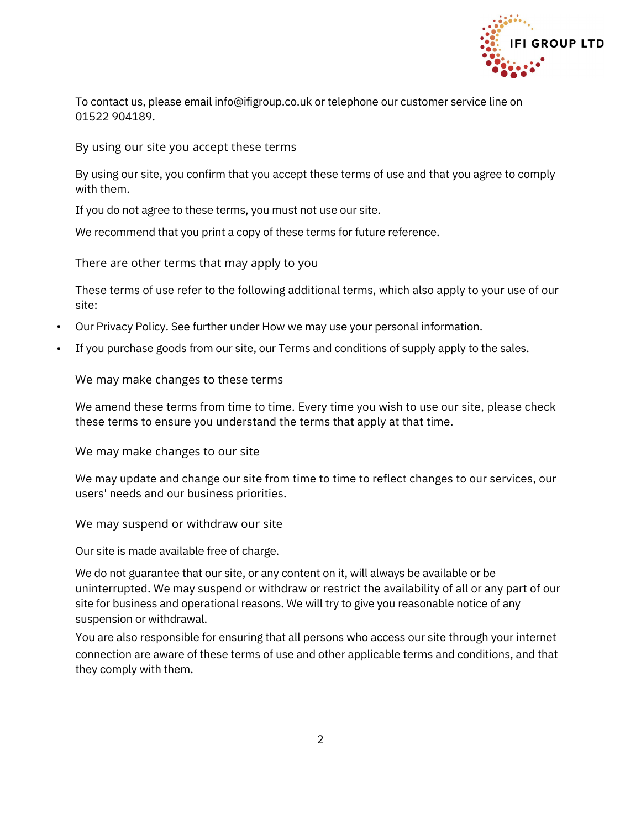

To contact us, please email info@ifigroup.co.uk or telephone our customer service line on 01522 904189.

By using our site you accept these terms

By using our site, you confirm that you accept these terms of use and that you agree to comply with them.

If you do not agree to these terms, you must not use our site.

We recommend that you print a copy of these terms for future reference.

There are other terms that may apply to you

These terms of use refer to the following additional terms, which also apply to your use of our site:

- Our Privacy Policy. See further under How we may use your personal information. •
- If you purchase goods from our site, our Terms and conditions of supply apply to the sales. •

We may make changes to these terms

We amend these terms from time to time. Every time you wish to use our site, please check these terms to ensure you understand the terms that apply at that time.

We may make changes to our site

We may update and change our site from time to time to reflect changes to our services, our users' needs and our business priorities.

We may suspend or withdraw our site

Our site is made available free of charge.

We do not guarantee that our site, or any content on it, will always be available or be uninterrupted. We may suspend or withdraw or restrict the availability of all or any part of our site for business and operational reasons. We will try to give you reasonable notice of any suspension or withdrawal.

You are also responsible for ensuring that all persons who access our site through your internet connection are aware of these terms of use and other applicable terms and conditions, and that they comply with them.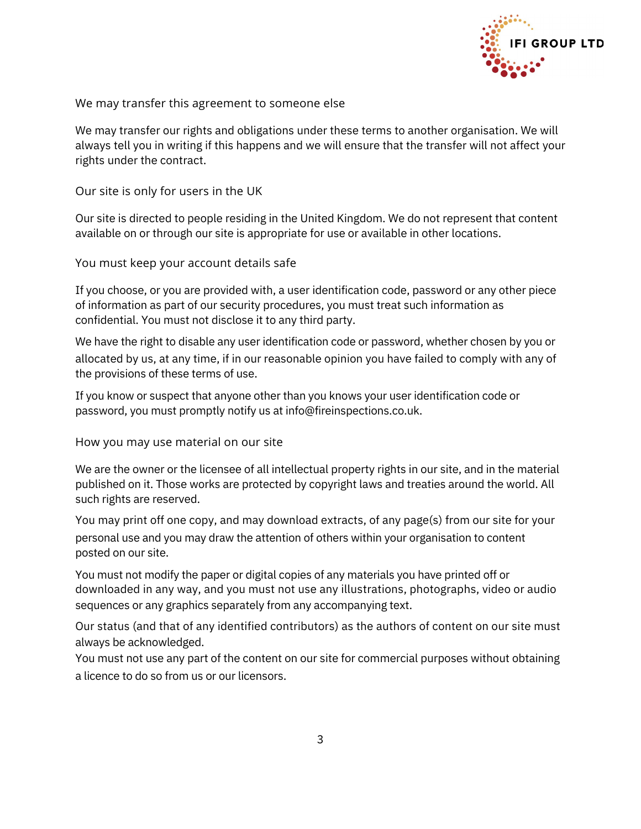

We may transfer this agreement to someone else

We may transfer our rights and obligations under these terms to another organisation. We will always tell you in writing if this happens and we will ensure that the transfer will not affect your rights under the contract.

Our site is only for users in the UK

Our site is directed to people residing in the United Kingdom. We do not represent that content available on or through our site is appropriate for use or available in other locations.

You must keep your account details safe

If you choose, or you are provided with, a user identification code, password or any other piece of information as part of our security procedures, you must treat such information as confidential. You must not disclose it to any third party.

We have the right to disable any user identification code or password, whether chosen by you or allocated by us, at any time, if in our reasonable opinion you have failed to comply with any of the provisions of these terms of use.

If you know or suspect that anyone other than you knows your user identification code or password, you must promptly notify us at info@fireinspections.co.uk.

How you may use material on our site

We are the owner or the licensee of all intellectual property rights in our site, and in the material published on it. Those works are protected by copyright laws and treaties around the world. All such rights are reserved.

You may print off one copy, and may download extracts, of any page(s) from our site for your personal use and you may draw the attention of others within your organisation to content posted on our site.

You must not modify the paper or digital copies of any materials you have printed off or downloaded in any way, and you must not use any illustrations, photographs, video or audio sequences or any graphics separately from any accompanying text.

Our status (and that of any identified contributors) as the authors of content on our site must always be acknowledged.

You must not use any part of the content on our site for commercial purposes without obtaining a licence to do so from us or our licensors.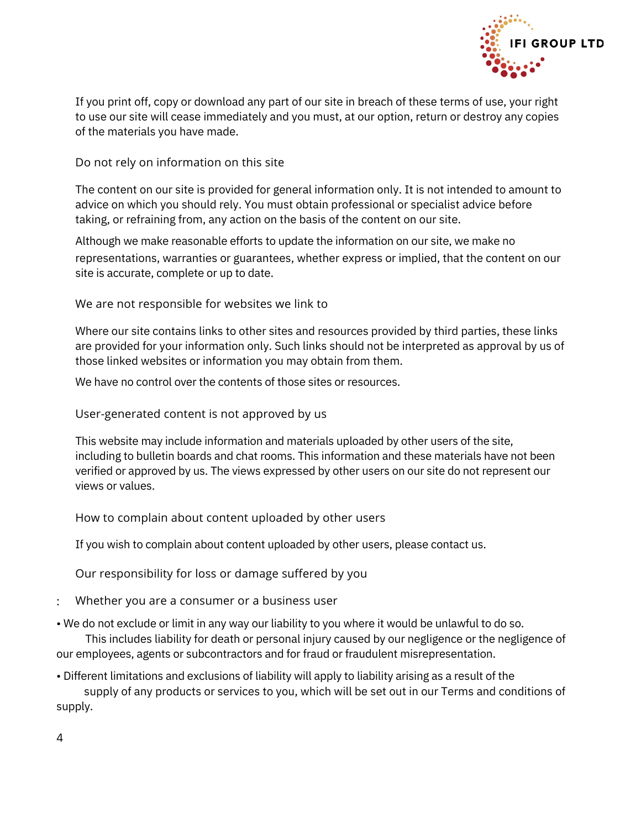

If you print off, copy or download any part of our site in breach of these terms of use, your right to use our site will cease immediately and you must, at our option, return or destroy any copies of the materials you have made.

Do not rely on information on this site

The content on our site is provided for general information only. It is not intended to amount to advice on which you should rely. You must obtain professional or specialist advice before taking, or refraining from, any action on the basis of the content on our site.

Although we make reasonable efforts to update the information on our site, we make no representations, warranties or guarantees, whether express or implied, that the content on our site is accurate, complete or up to date.

We are not responsible for websites we link to

Where our site contains links to other sites and resources provided by third parties, these links are provided for your information only. Such links should not be interpreted as approval by us of those linked websites or information you may obtain from them.

We have no control over the contents of those sites or resources.

User-generated content is not approved by us

This website may include information and materials uploaded by other users of the site, including to bulletin boards and chat rooms. This information and these materials have not been verified or approved by us. The views expressed by other users on our site do not represent our views or values.

How to complain about content uploaded by other users

If you wish to complain about content uploaded by other users, please contact us.

Our responsibility for loss or damage suffered by you

Whether you are a consumer or a business user :

• We do not exclude or limit in any way our liability to you where it would be unlawful to do so.

This includes liability for death or personal injury caused by our negligence or the negligence of our employees, agents or subcontractors and for fraud or fraudulent misrepresentation.

• Different limitations and exclusions of liability will apply to liability arising as a result of the supply of any products or services to you, which will be set out in our Terms and conditions of supply.

4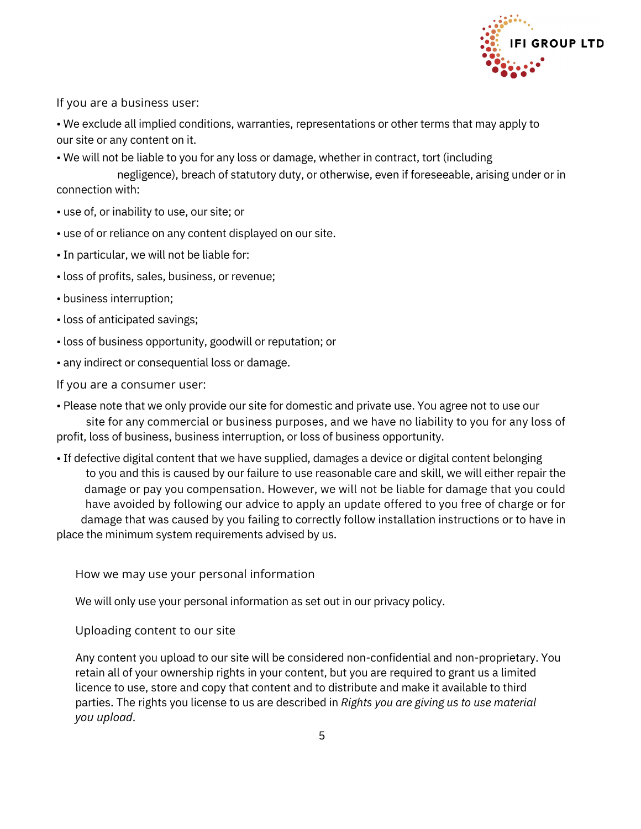

If you are a business user:

• We exclude all implied conditions, warranties, representations or other terms that may apply to our site or any content on it.

• We will not be liable to you for any loss or damage, whether in contract, tort (including

negligence), breach of statutory duty, or otherwise, even if foreseeable, arising under or in connection with:

- use of, or inability to use, our site; or
- use of or reliance on any content displayed on our site.
- In particular, we will not be liable for:
- loss of profits, sales, business, or revenue;
- business interruption;
- loss of anticipated savings;
- loss of business opportunity, goodwill or reputation; or
- any indirect or consequential loss or damage.

If you are a consumer user:

• Please note that we only provide our site for domestic and private use. You agree not to use our

site for any commercial or business purposes, and we have no liability to you for any loss of profit, loss of business, business interruption, or loss of business opportunity.

• If defective digital content that we have supplied, damages a device or digital content belonging to you and this is caused by our failure to use reasonable care and skill, we will either repair the damage or pay you compensation. However, we will not be liable for damage that you could have avoided by following our advice to apply an update offered to you free of charge or for damage that was caused by you failing to correctly follow installation instructions or to have in place the minimum system requirements advised by us.

How we may use your personal information

We will only use your personal information as set out in our privacy policy.

Uploading content to our site

Any content you upload to our site will be considered non-confidential and non-proprietary. You retain all of your ownership rights in your content, but you are required to grant us a limited licence to use, store and copy that content and to distribute and make it available to third parties. The rights you license to us are described in *Rights you are giving us to use material you upload*.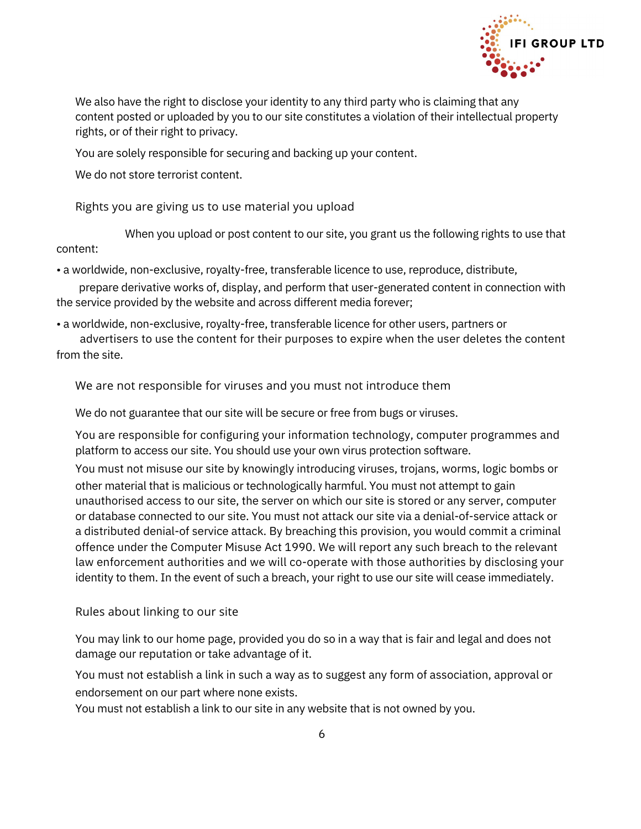

We also have the right to disclose your identity to any third party who is claiming that any content posted or uploaded by you to our site constitutes a violation of their intellectual property rights, or of their right to privacy.

You are solely responsible for securing and backing up your content.

We do not store terrorist content.

Rights you are giving us to use material you upload

When you upload or post content to our site, you grant us the following rights to use that content:

• a worldwide, non-exclusive, royalty-free, transferable licence to use, reproduce, distribute,

prepare derivative works of, display, and perform that user-generated content in connection with the service provided by the website and across different media forever;

• a worldwide, non-exclusive, royalty-free, transferable licence for other users, partners or advertisers to use the content for their purposes to expire when the user deletes the content from the site.

We are not responsible for viruses and you must not introduce them

We do not guarantee that our site will be secure or free from bugs or viruses.

You are responsible for configuring your information technology, computer programmes and platform to access our site. You should use your own virus protection software.

You must not misuse our site by knowingly introducing viruses, trojans, worms, logic bombs or other material that is malicious or technologically harmful. You must not attempt to gain unauthorised access to our site, the server on which our site is stored or any server, computer or database connected to our site. You must not attack our site via a denial-of-service attack or a distributed denial-of service attack. By breaching this provision, you would commit a criminal offence under the Computer Misuse Act 1990. We will report any such breach to the relevant law enforcement authorities and we will co-operate with those authorities by disclosing your identity to them. In the event of such a breach, your right to use our site will cease immediately.

## Rules about linking to our site

You may link to our home page, provided you do so in a way that is fair and legal and does not damage our reputation or take advantage of it.

You must not establish a link in such a way as to suggest any form of association, approval or endorsement on our part where none exists.

You must not establish a link to our site in any website that is not owned by you.